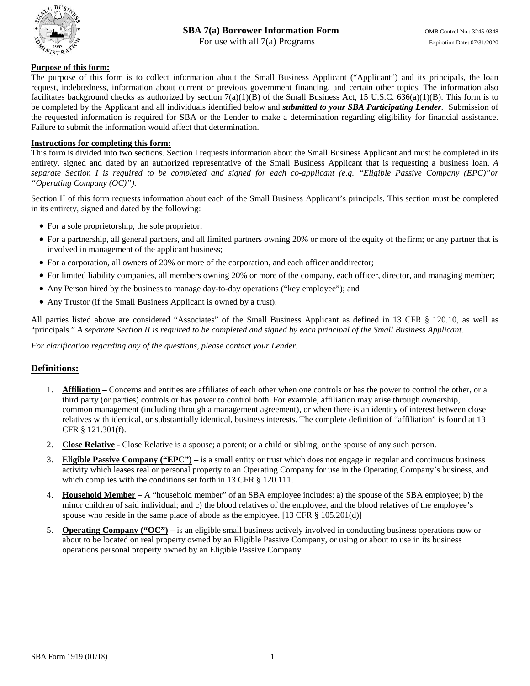

### **Purpose of this form:**

The purpose of this form is to collect information about the Small Business Applicant ("Applicant") and its principals, the loan request, indebtedness, information about current or previous government financing, and certain other topics. The information also facilitates background checks as authorized by section  $7(a)(1)(B)$  of the Small Business Act, 15 U.S.C. 636(a)(1)(B). This form is to be completed by the Applicant and all individuals identified below and *submitted to your SBA Participating Lender*. Submission of the requested information is required for SBA or the Lender to make a determination regarding eligibility for financial assistance. Failure to submit the information would affect that determination.

### **Instructions for completing this form:**

This form is divided into two sections. Section I requests information about the Small Business Applicant and must be completed in its entirety, signed and dated by an authorized representative of the Small Business Applicant that is requesting a business loan. *A separate Section I is required to be completed and signed for each co-applicant (e.g. "Eligible Passive Company (EPC)"or "Operating Company (OC)").* 

Section II of this form requests information about each of the Small Business Applicant's principals. This section must be completed in its entirety, signed and dated by the following:

- For a sole proprietorship, the sole proprietor;
- For a partnership, all general partners, and all limited partners owning 20% or more of the equity of the firm; or any partner that is involved in management of the applicant business;
- For a corporation, all owners of 20% or more of the corporation, and each officer and director;
- For limited liability companies, all members owning 20% or more of the company, each officer, director, and managing member;
- Any Person hired by the business to manage day-to-day operations ("key employee"); and
- Any Trustor (if the Small Business Applicant is owned by a trust).

All parties listed above are considered "Associates" of the Small Business Applicant as defined in 13 CFR § 120.10, as well as "principals." *A separate Section II is required to be completed and signed by each principal of the Small Business Applicant.*

*For clarification regarding any of the questions, please contact your Lender.*

### **Definitions:**

- 1. **Affiliation –** Concerns and entities are affiliates of each other when one controls or has the power to control the other, or a third party (or parties) controls or has power to control both. For example, affiliation may arise through ownership, common management (including through a management agreement), or when there is an identity of interest between close relatives with identical, or substantially identical, business interests. The complete definition of "affiliation" is found at 13 CFR § 121.301(f).
- 2. **Close Relative -** Close Relative is a spouse; a parent; or a child or sibling, or the spouse of any such person.
- 3. **Eligible Passive Company ("EPC") –** is a small entity or trust which does not engage in regular and continuous business activity which leases real or personal property to an Operating Company for use in the Operating Company's business, and which complies with the conditions set forth in 13 CFR § 120.111.
- 4. **Household Member** A "household member" of an SBA employee includes: a) the spouse of the SBA employee; b) the minor children of said individual; and c) the blood relatives of the employee, and the blood relatives of the employee's spouse who reside in the same place of abode as the employee. [13 CFR § 105.201(d)]
- 5. **Operating Company ("OC") –** is an eligible small business actively involved in conducting business operations now or about to be located on real property owned by an Eligible Passive Company, or using or about to use in its business operations personal property owned by an Eligible Passive Company.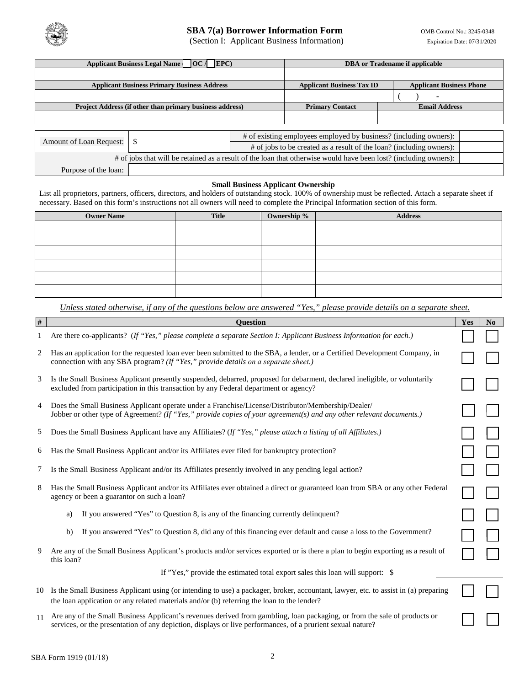

# **SBA 7(a) Borrower Information Form** OMB Control No.: 3245-0348

| Applicant Business Legal Name   OC / EPC)                                                                        |     |                                                                   | <b>DBA</b> or Tradename if applicable                                |                                 |                      |  |
|------------------------------------------------------------------------------------------------------------------|-----|-------------------------------------------------------------------|----------------------------------------------------------------------|---------------------------------|----------------------|--|
|                                                                                                                  |     |                                                                   |                                                                      |                                 |                      |  |
| <b>Applicant Business Primary Business Address</b>                                                               |     |                                                                   | <b>Applicant Business Tax ID</b>                                     | <b>Applicant Business Phone</b> |                      |  |
|                                                                                                                  |     |                                                                   |                                                                      | -                               |                      |  |
| <b>Project Address (if other than primary business address)</b>                                                  |     |                                                                   | <b>Primary Contact</b>                                               |                                 | <b>Email Address</b> |  |
|                                                                                                                  |     |                                                                   |                                                                      |                                 |                      |  |
| Amount of Loan Request:                                                                                          | - S | # of existing employees employed by business? (including owners): |                                                                      |                                 |                      |  |
|                                                                                                                  |     |                                                                   | # of jobs to be created as a result of the loan? (including owners): |                                 |                      |  |
| # of jobs that will be retained as a result of the loan that otherwise would have been lost? (including owners): |     |                                                                   |                                                                      |                                 |                      |  |
| Purpose of the loan:                                                                                             |     |                                                                   |                                                                      |                                 |                      |  |

#### **Small Business Applicant Ownership**

List all proprietors, partners, officers, directors, and holders of outstanding stock. 100% of ownership must be reflected. Attach a separate sheet if necessary. Based on this form's instructions not all owners will need to complete the Principal Information section of this form.

| <b>Owner Name</b> | <b>Title</b> | Ownership % | <b>Address</b> |
|-------------------|--------------|-------------|----------------|
|                   |              |             |                |
|                   |              |             |                |
|                   |              |             |                |
|                   |              |             |                |
|                   |              |             |                |
|                   |              |             |                |

*Unless stated otherwise, if any of the questions below are answered "Yes," please provide details on a separate sheet.*

| $\overline{\#}$ | <b>Ouestion</b>                                                                                                                                                                                                                          | Yes | N <sub>0</sub> |
|-----------------|------------------------------------------------------------------------------------------------------------------------------------------------------------------------------------------------------------------------------------------|-----|----------------|
| 1               | Are there co-applicants? (If "Yes," please complete a separate Section I: Applicant Business Information for each.)                                                                                                                      |     |                |
| 2               | Has an application for the requested loan ever been submitted to the SBA, a lender, or a Certified Development Company, in<br>connection with any SBA program? (If "Yes," provide details on a separate sheet.)                          |     |                |
| 3               | Is the Small Business Applicant presently suspended, debarred, proposed for debarment, declared ineligible, or voluntarily<br>excluded from participation in this transaction by any Federal department or agency?                       |     |                |
| 4               | Does the Small Business Applicant operate under a Franchise/License/Distributor/Membership/Dealer/<br>Jobber or other type of Agreement? (If "Yes," provide copies of your agreement(s) and any other relevant documents.)               |     |                |
| 5               | Does the Small Business Applicant have any Affiliates? (If "Yes," please attach a listing of all Affiliates.)                                                                                                                            |     |                |
| 6               | Has the Small Business Applicant and/or its Affiliates ever filed for bankruptcy protection?                                                                                                                                             |     |                |
| 7               | Is the Small Business Applicant and/or its Affiliates presently involved in any pending legal action?                                                                                                                                    |     |                |
| 8               | Has the Small Business Applicant and/or its Affiliates ever obtained a direct or guaranteed loan from SBA or any other Federal<br>agency or been a guarantor on such a loan?                                                             |     |                |
|                 | If you answered "Yes" to Question 8, is any of the financing currently delinquent?<br>a)                                                                                                                                                 |     |                |
|                 | If you answered "Yes" to Question 8, did any of this financing ever default and cause a loss to the Government?<br>b)                                                                                                                    |     |                |
| 9               | Are any of the Small Business Applicant's products and/or services exported or is there a plan to begin exporting as a result of<br>this loan?                                                                                           |     |                |
|                 | If "Yes," provide the estimated total export sales this loan will support: \$                                                                                                                                                            |     |                |
|                 | 10 Is the Small Business Applicant using (or intending to use) a packager, broker, accountant, lawyer, etc. to assist in (a) preparing<br>the loan application or any related materials and/or (b) referring the loan to the lender?     |     |                |
| 11              | Are any of the Small Business Applicant's revenues derived from gambling, loan packaging, or from the sale of products or<br>services, or the presentation of any depiction, displays or live performances, of a prurient sexual nature? |     |                |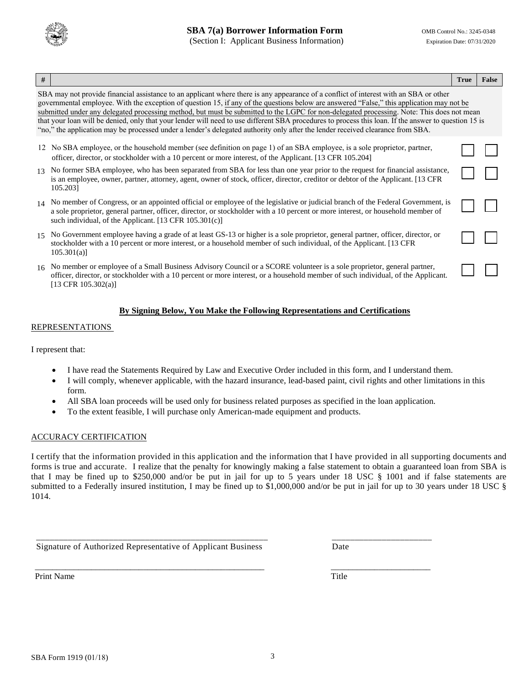

**# True False** officer, director, or stockholder with a 10 percent or more interest, of the Applicant. [13 CFR 105.204] ▁▏▁ 13 No former SBA employee, who has been separated from SBA for less than one year prior to the request for financial assistance, is an employee, owner, partner, attorney, agent, owner of stock, officer, director, creditor or debtor of the Applicant. [13 CFR 105.203] ▁▏▁ 14 No member of Congress, or an appointed official or employee of the legislative or judicial branch of the Federal Government, is a sole proprietor, general partner, officer, director, or stockholder with a 10 percent or more interest, or household member of such individual, of the Applicant. [13 CFR 105.301(c)]  $\Box$   $\Box$ 15 No Government employee having a grade of at least GS-13 or higher is a sole proprietor, general partner, officer, director, or stockholder with a 10 percent or more interest, or a household member of such individual, of the Applicant. [13 CFR 105.301(a)] U∟ 16 No member or employee of a Small Business Advisory Council or a SCORE volunteer is a sole proprietor, general partner, officer, director, or stockholder with a 10 percent or more interest, or a household member of such individual, of the Applicant. [13 CFR 105.302(a)]  $\Box$   $\Box$ SBA may not provide financial assistance to an applicant where there is any appearance of a conflict of interest with an SBA or other governmental employee. With the exception of question 15, if any of the questions below are answered "False," this application may not be submitted under any delegated processing method, but must be submitted to the LGPC for non-delegated processing. Note: This does not mean that your loan will be denied, only that your lender will need to use different SBA procedures to process this loan. If the answer to question 15 is "no," the application may be processed under a lender's delegated authority only after the lender received clearance from SBA. 12 No SBA employee, or the household member (see definition on page 1) of an SBA employee, is a sole proprietor, partner,

### **By Signing Below, You Make the Following Representations and Certifications**

#### REPRESENTATIONS

I represent that:

- I have read the Statements Required by Law and Executive Order included in this form, and I understand them.
- I will comply, whenever applicable, with the hazard insurance, lead-based paint, civil rights and other limitations in this form.
- All SBA loan proceeds will be used only for business related purposes as specified in the loan application.

\_\_\_\_\_\_\_\_\_\_\_\_\_\_\_\_\_\_\_\_\_\_\_\_\_\_\_\_\_\_\_\_\_\_\_\_\_\_\_\_\_\_\_\_\_\_\_\_\_\_\_ \_\_\_\_\_\_\_\_\_\_\_\_\_\_\_\_\_\_\_\_\_\_

• To the extent feasible, I will purchase only American-made equipment and products.

#### ACCURACY CERTIFICATION

I certify that the information provided in this application and the information that I have provided in all supporting documents and forms is true and accurate. I realize that the penalty for knowingly making a false statement to obtain a guaranteed loan from SBA is that I may be fined up to \$250,000 and/or be put in jail for up to 5 years under 18 USC § 1001 and if false statements are submitted to a Federally insured institution, I may be fined up to \$1,000,000 and/or be put in jail for up to 30 years under 18 USC § 1014.

Signature of Authorized Representative of Applicant Business Date

Print Name Title

\_\_\_\_\_\_\_\_\_\_\_\_\_\_\_\_\_\_\_\_\_\_\_\_\_\_\_\_\_\_\_\_\_\_\_\_\_\_\_\_\_\_\_\_\_\_\_\_\_\_\_\_\_ \_\_\_\_\_\_\_\_\_\_\_\_\_\_\_\_\_\_\_\_\_\_\_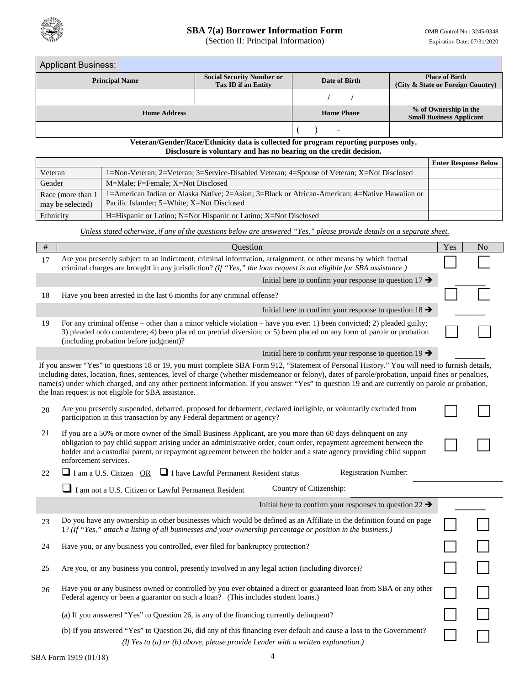

## **SBA 7(a) Borrower Information Form** OMB Control No.: 3245-0348

(Section II: Principal Information) Expiration Date: 07/31/2020

|                                                                                                                                                                                                                                                                                                  | <b>Applicant Business:</b>                                                                                                                                                                                                                                                                                                                                                         |                                                                       |                                                                                                   |                                                                                                                                                                                                                                                                                                                                                                                                                                                        |                                                            |                             |                |
|--------------------------------------------------------------------------------------------------------------------------------------------------------------------------------------------------------------------------------------------------------------------------------------------------|------------------------------------------------------------------------------------------------------------------------------------------------------------------------------------------------------------------------------------------------------------------------------------------------------------------------------------------------------------------------------------|-----------------------------------------------------------------------|---------------------------------------------------------------------------------------------------|--------------------------------------------------------------------------------------------------------------------------------------------------------------------------------------------------------------------------------------------------------------------------------------------------------------------------------------------------------------------------------------------------------------------------------------------------------|------------------------------------------------------------|-----------------------------|----------------|
| <b>Principal Name</b>                                                                                                                                                                                                                                                                            |                                                                                                                                                                                                                                                                                                                                                                                    |                                                                       | <b>Social Security Number or</b><br>Tax ID if an Entity                                           | Date of Birth                                                                                                                                                                                                                                                                                                                                                                                                                                          | <b>Place of Birth</b><br>(City & State or Foreign Country) |                             |                |
|                                                                                                                                                                                                                                                                                                  |                                                                                                                                                                                                                                                                                                                                                                                    |                                                                       |                                                                                                   |                                                                                                                                                                                                                                                                                                                                                                                                                                                        |                                                            |                             |                |
| <b>Home Address</b>                                                                                                                                                                                                                                                                              |                                                                                                                                                                                                                                                                                                                                                                                    |                                                                       | <b>Home Phone</b>                                                                                 | % of Ownership in the<br><b>Small Business Applicant</b>                                                                                                                                                                                                                                                                                                                                                                                               |                                                            |                             |                |
|                                                                                                                                                                                                                                                                                                  |                                                                                                                                                                                                                                                                                                                                                                                    |                                                                       |                                                                                                   |                                                                                                                                                                                                                                                                                                                                                                                                                                                        |                                                            |                             |                |
|                                                                                                                                                                                                                                                                                                  |                                                                                                                                                                                                                                                                                                                                                                                    |                                                                       | Disclosure is voluntary and has no bearing on the credit decision.                                | Veteran/Gender/Race/Ethnicity data is collected for program reporting purposes only.                                                                                                                                                                                                                                                                                                                                                                   |                                                            |                             |                |
|                                                                                                                                                                                                                                                                                                  |                                                                                                                                                                                                                                                                                                                                                                                    |                                                                       |                                                                                                   |                                                                                                                                                                                                                                                                                                                                                                                                                                                        |                                                            | <b>Enter Response Below</b> |                |
| Veteran                                                                                                                                                                                                                                                                                          |                                                                                                                                                                                                                                                                                                                                                                                    |                                                                       |                                                                                                   | 1=Non-Veteran; 2=Veteran; 3=Service-Disabled Veteran; 4=Spouse of Veteran; X=Not Disclosed                                                                                                                                                                                                                                                                                                                                                             |                                                            |                             |                |
| Gender                                                                                                                                                                                                                                                                                           |                                                                                                                                                                                                                                                                                                                                                                                    | M=Male; F=Female; X=Not Disclosed                                     |                                                                                                   |                                                                                                                                                                                                                                                                                                                                                                                                                                                        |                                                            |                             |                |
|                                                                                                                                                                                                                                                                                                  | Race (more than 1<br>may be selected)                                                                                                                                                                                                                                                                                                                                              | Pacific Islander; 5=White; X=Not Disclosed                            |                                                                                                   | 1=American Indian or Alaska Native; 2=Asian; 3=Black or African-American; 4=Native Hawaiian or                                                                                                                                                                                                                                                                                                                                                         |                                                            |                             |                |
| Ethnicity                                                                                                                                                                                                                                                                                        |                                                                                                                                                                                                                                                                                                                                                                                    |                                                                       | H=Hispanic or Latino; N=Not Hispanic or Latino; X=Not Disclosed                                   |                                                                                                                                                                                                                                                                                                                                                                                                                                                        |                                                            |                             |                |
|                                                                                                                                                                                                                                                                                                  |                                                                                                                                                                                                                                                                                                                                                                                    |                                                                       |                                                                                                   | Unless stated otherwise, if any of the questions below are answered "Yes," please provide details on a separate sheet.                                                                                                                                                                                                                                                                                                                                 |                                                            |                             |                |
| $\#$                                                                                                                                                                                                                                                                                             |                                                                                                                                                                                                                                                                                                                                                                                    |                                                                       | Question                                                                                          |                                                                                                                                                                                                                                                                                                                                                                                                                                                        |                                                            | Yes                         | N <sub>o</sub> |
| 17                                                                                                                                                                                                                                                                                               | Are you presently subject to an indictment, criminal information, arraignment, or other means by which formal<br>criminal charges are brought in any jurisdiction? (If "Yes," the loan request is not eligible for SBA assistance.)                                                                                                                                                |                                                                       |                                                                                                   |                                                                                                                                                                                                                                                                                                                                                                                                                                                        |                                                            |                             |                |
|                                                                                                                                                                                                                                                                                                  |                                                                                                                                                                                                                                                                                                                                                                                    |                                                                       |                                                                                                   | Initial here to confirm your response to question $17 \rightarrow$                                                                                                                                                                                                                                                                                                                                                                                     |                                                            |                             |                |
| 18                                                                                                                                                                                                                                                                                               |                                                                                                                                                                                                                                                                                                                                                                                    | Have you been arrested in the last 6 months for any criminal offense? |                                                                                                   |                                                                                                                                                                                                                                                                                                                                                                                                                                                        |                                                            |                             |                |
|                                                                                                                                                                                                                                                                                                  |                                                                                                                                                                                                                                                                                                                                                                                    |                                                                       |                                                                                                   | Initial here to confirm your response to question $18 \rightarrow$                                                                                                                                                                                                                                                                                                                                                                                     |                                                            |                             |                |
| For any criminal offense – other than a minor vehicle violation – have you ever: 1) been convicted; 2) pleaded guilty;<br>19<br>3) pleaded nolo contendere; 4) been placed on pretrial diversion; or 5) been placed on any form of parole or probation<br>(including probation before judgment)? |                                                                                                                                                                                                                                                                                                                                                                                    |                                                                       |                                                                                                   |                                                                                                                                                                                                                                                                                                                                                                                                                                                        |                                                            |                             |                |
|                                                                                                                                                                                                                                                                                                  |                                                                                                                                                                                                                                                                                                                                                                                    |                                                                       |                                                                                                   | Initial here to confirm your response to question 19 $\rightarrow$                                                                                                                                                                                                                                                                                                                                                                                     |                                                            |                             |                |
|                                                                                                                                                                                                                                                                                                  |                                                                                                                                                                                                                                                                                                                                                                                    | the loan request is not eligible for SBA assistance.                  |                                                                                                   | If you answer "Yes" to questions 18 or 19, you must complete SBA Form 912, "Statement of Personal History." You will need to furnish details,<br>including dates, location, fines, sentences, level of charge (whether misdemeanor or felony), dates of parole/probation, unpaid fines or penalties,<br>name(s) under which charged, and any other pertinent information. If you answer "Yes" to question 19 and are currently on parole or probation, |                                                            |                             |                |
| 20                                                                                                                                                                                                                                                                                               | Are you presently suspended, debarred, proposed for debarment, declared ineligible, or voluntarily excluded from<br>participation in this transaction by any Federal department or agency?                                                                                                                                                                                         |                                                                       |                                                                                                   |                                                                                                                                                                                                                                                                                                                                                                                                                                                        |                                                            |                             |                |
| 21                                                                                                                                                                                                                                                                                               | If you are a 50% or more owner of the Small Business Applicant, are you more than 60 days delinquent on any<br>obligation to pay child support arising under an administrative order, court order, repayment agreement between the<br>holder and a custodial parent, or repayment agreement between the holder and a state agency providing child support<br>enforcement services. |                                                                       |                                                                                                   |                                                                                                                                                                                                                                                                                                                                                                                                                                                        |                                                            |                             |                |
| 22                                                                                                                                                                                                                                                                                               |                                                                                                                                                                                                                                                                                                                                                                                    |                                                                       | $\Box$ I am a U.S. Citizen OR $\Box$ I have Lawful Permanent Resident status                      | <b>Registration Number:</b>                                                                                                                                                                                                                                                                                                                                                                                                                            |                                                            |                             |                |
|                                                                                                                                                                                                                                                                                                  |                                                                                                                                                                                                                                                                                                                                                                                    | I am not a U.S. Citizen or Lawful Permanent Resident                  |                                                                                                   | Country of Citizenship:                                                                                                                                                                                                                                                                                                                                                                                                                                |                                                            |                             |                |
|                                                                                                                                                                                                                                                                                                  |                                                                                                                                                                                                                                                                                                                                                                                    |                                                                       |                                                                                                   | Initial here to confirm your responses to question 22 $\rightarrow$                                                                                                                                                                                                                                                                                                                                                                                    |                                                            |                             |                |
| 23                                                                                                                                                                                                                                                                                               |                                                                                                                                                                                                                                                                                                                                                                                    |                                                                       |                                                                                                   | Do you have any ownership in other businesses which would be defined as an Affiliate in the definition found on page<br>1? (If "Yes," attach a listing of all businesses and your ownership percentage or position in the business.)                                                                                                                                                                                                                   |                                                            |                             |                |
| 24                                                                                                                                                                                                                                                                                               | Have you, or any business you controlled, ever filed for bankruptcy protection?                                                                                                                                                                                                                                                                                                    |                                                                       |                                                                                                   |                                                                                                                                                                                                                                                                                                                                                                                                                                                        |                                                            |                             |                |
| 25                                                                                                                                                                                                                                                                                               |                                                                                                                                                                                                                                                                                                                                                                                    |                                                                       | Are you, or any business you control, presently involved in any legal action (including divorce)? |                                                                                                                                                                                                                                                                                                                                                                                                                                                        |                                                            |                             |                |
| 26                                                                                                                                                                                                                                                                                               |                                                                                                                                                                                                                                                                                                                                                                                    |                                                                       | Federal agency or been a guarantor on such a loan? (This includes student loans.)                 | Have you or any business owned or controlled by you ever obtained a direct or guaranteed loan from SBA or any other                                                                                                                                                                                                                                                                                                                                    |                                                            |                             |                |
|                                                                                                                                                                                                                                                                                                  |                                                                                                                                                                                                                                                                                                                                                                                    |                                                                       | (a) If you answered "Yes" to Question 26, is any of the financing currently delinquent?           |                                                                                                                                                                                                                                                                                                                                                                                                                                                        |                                                            |                             |                |
|                                                                                                                                                                                                                                                                                                  |                                                                                                                                                                                                                                                                                                                                                                                    |                                                                       | (If Yes to $(a)$ or $(b)$ above, please provide Lender with a written explanation.)               | (b) If you answered "Yes" to Question 26, did any of this financing ever default and cause a loss to the Government?                                                                                                                                                                                                                                                                                                                                   |                                                            |                             |                |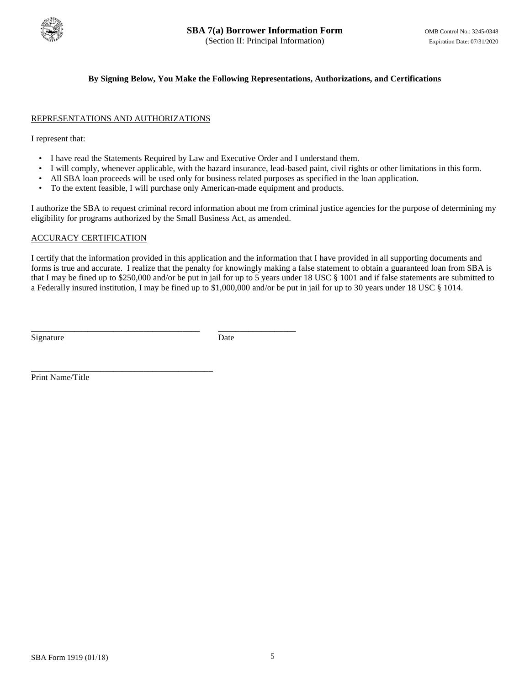

### **By Signing Below, You Make the Following Representations, Authorizations, and Certifications**

### REPRESENTATIONS AND AUTHORIZATIONS

**\_\_\_\_\_\_\_\_\_\_\_\_\_\_\_\_\_\_\_\_\_\_\_\_\_\_\_\_\_\_\_\_\_\_\_\_\_\_\_\_\_\_** 

I represent that:

- I have read the Statements Required by Law and Executive Order and I understand them.
- I will comply, whenever applicable, with the hazard insurance, lead-based paint, civil rights or other limitations in this form.
- All SBA loan proceeds will be used only for business related purposes as specified in the loan application.
- To the extent feasible, I will purchase only American-made equipment and products.

I authorize the SBA to request criminal record information about me from criminal justice agencies for the purpose of determining my eligibility for programs authorized by the Small Business Act, as amended.

### ACCURACY CERTIFICATION

I certify that the information provided in this application and the information that I have provided in all supporting documents and forms is true and accurate. I realize that the penalty for knowingly making a false statement to obtain a guaranteed loan from SBA is that I may be fined up to \$250,000 and/or be put in jail for up to 5 years under 18 USC § 1001 and if false statements are submitted to a Federally insured institution, I may be fined up to \$1,000,000 and/or be put in jail for up to 30 years under 18 USC § 1014.

Signature Date

**\_\_\_\_\_\_\_\_\_\_\_\_\_\_\_\_\_\_\_\_\_\_\_\_\_\_\_\_\_\_\_\_\_\_\_\_\_\_\_ \_\_\_\_\_\_\_\_\_\_\_\_\_\_\_\_\_\_**

Print Name/Title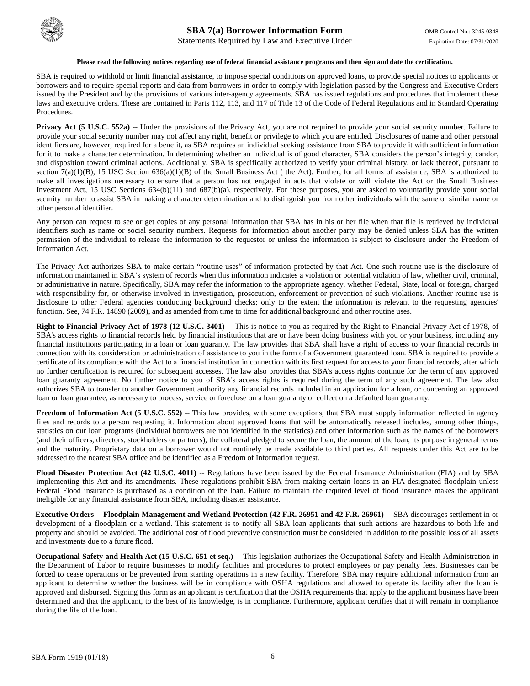

Statements Required by Law and Executive Order Expiration Date: 07/31/2020

#### **Please read the following notices regarding use of federal financial assistance programs and then sign and date the certification.**

SBA is required to withhold or limit financial assistance, to impose special conditions on approved loans, to provide special notices to applicants or borrowers and to require special reports and data from borrowers in order to comply with legislation passed by the Congress and Executive Orders issued by the President and by the provisions of various inter-agency agreements. SBA has issued regulations and procedures that implement these laws and executive orders. These are contained in Parts 112, 113, and 117 of Title 13 of the Code of Federal Regulations and in Standard Operating Procedures.

**Privacy Act (5 U.S.C. 552a) --** Under the provisions of the Privacy Act, you are not required to provide your social security number. Failure to provide your social security number may not affect any right, benefit or privilege to which you are entitled. Disclosures of name and other personal identifiers are, however, required for a benefit, as SBA requires an individual seeking assistance from SBA to provide it with sufficient information for it to make a character determination. In determining whether an individual is of good character, SBA considers the person's integrity, candor, and disposition toward criminal actions. Additionally, SBA is specifically authorized to verify your criminal history, or lack thereof, pursuant to section  $7(a)(1)(B)$ , 15 USC Section 636(a)(1)(B) of the Small Business Act ( the Act). Further, for all forms of assistance, SBA is authorized to make all investigations necessary to ensure that a person has not engaged in acts that violate or will violate the Act or the Small Business Investment Act, 15 USC Sections 634(b)(11) and 687(b)(a), respectively. For these purposes, you are asked to voluntarily provide your social security number to assist SBA in making a character determination and to distinguish you from other individuals with the same or similar name or other personal identifier.

Any person can request to see or get copies of any personal information that SBA has in his or her file when that file is retrieved by individual identifiers such as name or social security numbers. Requests for information about another party may be denied unless SBA has the written permission of the individual to release the information to the requestor or unless the information is subject to disclosure under the Freedom of Information Act.

The Privacy Act authorizes SBA to make certain "routine uses" of information protected by that Act. One such routine use is the disclosure of information maintained in SBA's system of records when this information indicates a violation or potential violation of law, whether civil, criminal, or administrative in nature. Specifically, SBA may refer the information to the appropriate agency, whether Federal, State, local or foreign, charged with responsibility for, or otherwise involved in investigation, prosecution, enforcement or prevention of such violations. Another routine use is disclosure to other Federal agencies conducting background checks; only to the extent the information is relevant to the requesting agencies' function. See, 74 F.R. 14890 (2009), and as amended from time to time for additional background and other routine uses.

**Right to Financial Privacy Act of 1978 (12 U.S.C. 3401)** -- This is notice to you as required by the Right to Financial Privacy Act of 1978, of SBA's access rights to financial records held by financial institutions that are or have been doing business with you or your business, including any financial institutions participating in a loan or loan guaranty. The law provides that SBA shall have a right of access to your financial records in connection with its consideration or administration of assistance to you in the form of a Government guaranteed loan. SBA is required to provide a certificate of its compliance with the Act to a financial institution in connection with its first request for access to your financial records, after which no further certification is required for subsequent accesses. The law also provides that SBA's access rights continue for the term of any approved loan guaranty agreement. No further notice to you of SBA's access rights is required during the term of any such agreement. The law also authorizes SBA to transfer to another Government authority any financial records included in an application for a loan, or concerning an approved loan or loan guarantee, as necessary to process, service or foreclose on a loan guaranty or collect on a defaulted loan guaranty.

**Freedom of Information Act (5 U.S.C. 552)** -- This law provides, with some exceptions, that SBA must supply information reflected in agency files and records to a person requesting it. Information about approved loans that will be automatically released includes, among other things, statistics on our loan programs (individual borrowers are not identified in the statistics) and other information such as the names of the borrowers (and their officers, directors, stockholders or partners), the collateral pledged to secure the loan, the amount of the loan, its purpose in general terms and the maturity. Proprietary data on a borrower would not routinely be made available to third parties. All requests under this Act are to be addressed to the nearest SBA office and be identified as a Freedom of Information request.

**Flood Disaster Protection Act (42 U.S.C. 4011)** -- Regulations have been issued by the Federal Insurance Administration (FIA) and by SBA implementing this Act and its amendments. These regulations prohibit SBA from making certain loans in an FIA designated floodplain unless Federal Flood insurance is purchased as a condition of the loan. Failure to maintain the required level of flood insurance makes the applicant ineligible for any financial assistance from SBA, including disaster assistance.

**Executive Orders -- Floodplain Management and Wetland Protection (42 F.R. 26951 and 42 F.R. 26961)** -- SBA discourages settlement in or development of a floodplain or a wetland. This statement is to notify all SBA loan applicants that such actions are hazardous to both life and property and should be avoided. The additional cost of flood preventive construction must be considered in addition to the possible loss of all assets and investments due to a future flood.

**Occupational Safety and Health Act (15 U.S.C. 651 et seq.)** -- This legislation authorizes the Occupational Safety and Health Administration in the Department of Labor to require businesses to modify facilities and procedures to protect employees or pay penalty fees. Businesses can be forced to cease operations or be prevented from starting operations in a new facility. Therefore, SBA may require additional information from an applicant to determine whether the business will be in compliance with OSHA regulations and allowed to operate its facility after the loan is approved and disbursed. Signing this form as an applicant is certification that the OSHA requirements that apply to the applicant business have been determined and that the applicant, to the best of its knowledge, is in compliance. Furthermore, applicant certifies that it will remain in compliance during the life of the loan.